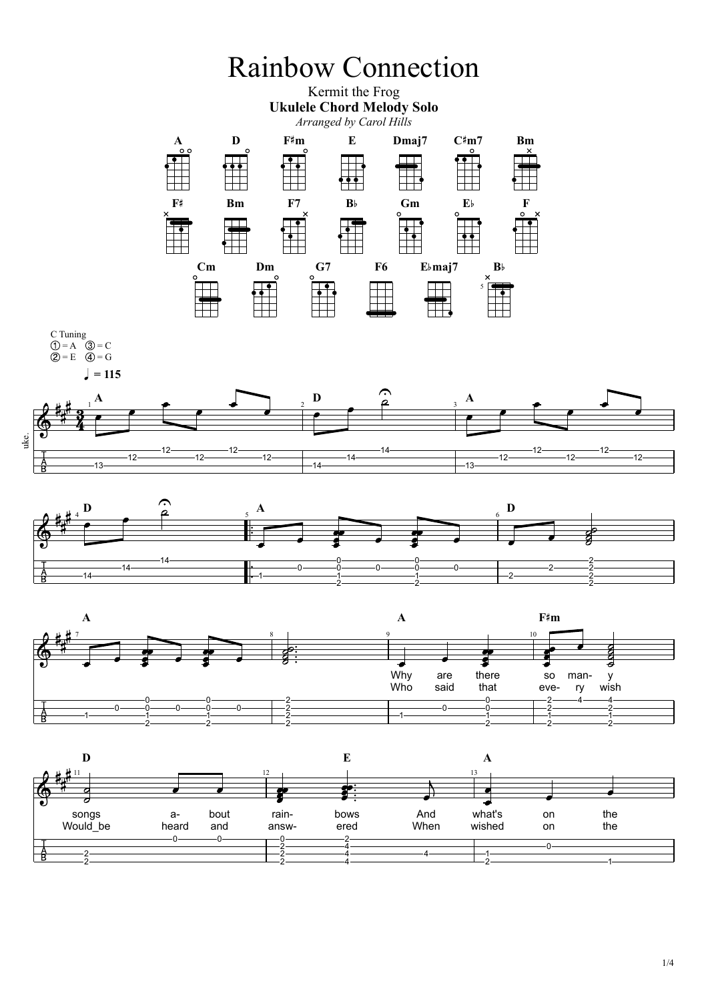







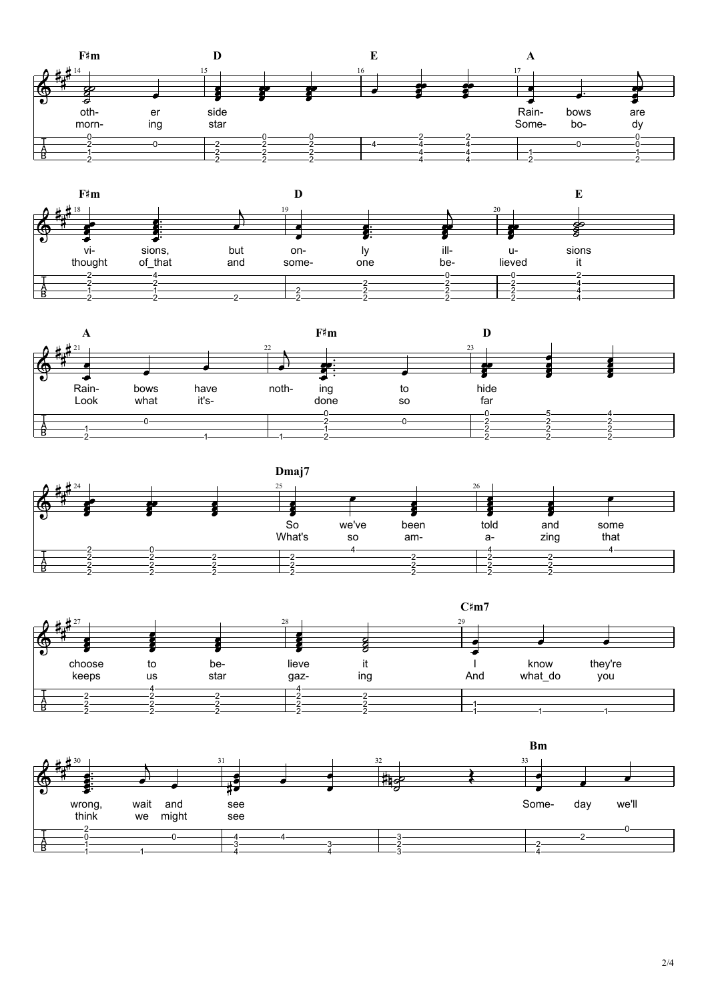









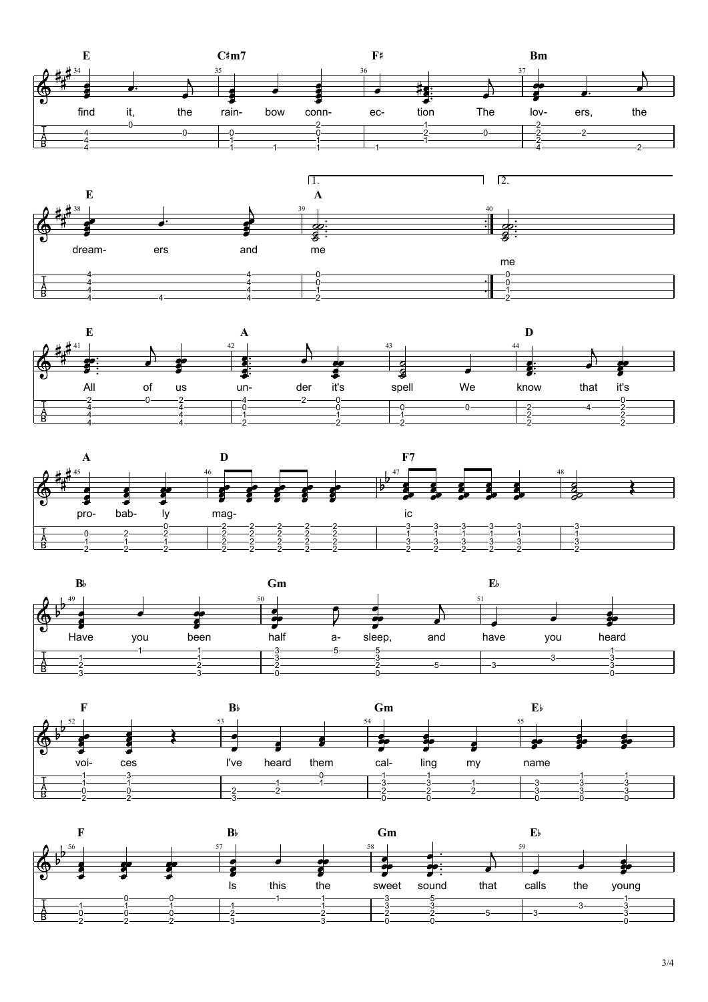3/4